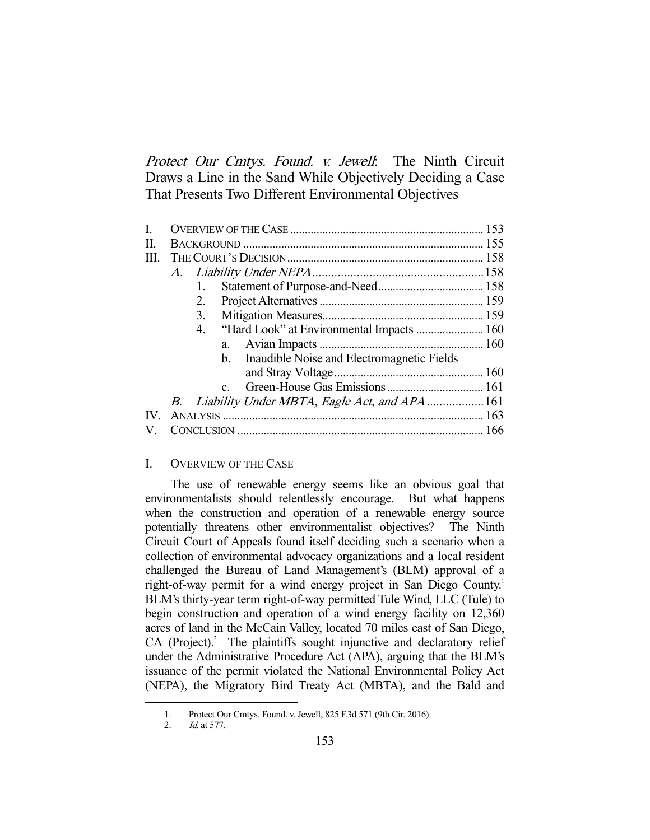Protect Our Cmtys. Found. v. Jewell: The Ninth Circuit Draws a Line in the Sand While Objectively Deciding a Case That Presents Two Different Environmental Objectives

| L    |                                                              |  |
|------|--------------------------------------------------------------|--|
| П.   |                                                              |  |
| III. |                                                              |  |
|      |                                                              |  |
|      | $1_{-}$                                                      |  |
|      | 2.                                                           |  |
|      | 3.                                                           |  |
|      | 4.                                                           |  |
|      | a.                                                           |  |
|      | Inaudible Noise and Electromagnetic Fields<br>$\mathbf{b}$ . |  |
|      |                                                              |  |
|      | $C_{-}$                                                      |  |
|      |                                                              |  |
|      |                                                              |  |
|      |                                                              |  |

# I. OVERVIEW OF THE CASE

 The use of renewable energy seems like an obvious goal that environmentalists should relentlessly encourage. But what happens when the construction and operation of a renewable energy source potentially threatens other environmentalist objectives? The Ninth Circuit Court of Appeals found itself deciding such a scenario when a collection of environmental advocacy organizations and a local resident challenged the Bureau of Land Management's (BLM) approval of a right-of-way permit for a wind energy project in San Diego County.<sup>1</sup> BLM's thirty-year term right-of-way permitted Tule Wind, LLC (Tule) to begin construction and operation of a wind energy facility on 12,360 acres of land in the McCain Valley, located 70 miles east of San Diego,  $CA$  (Project).<sup>2</sup> The plaintiffs sought injunctive and declaratory relief under the Administrative Procedure Act (APA), arguing that the BLM's issuance of the permit violated the National Environmental Policy Act (NEPA), the Migratory Bird Treaty Act (MBTA), and the Bald and

 <sup>1.</sup> Protect Our Cmtys. Found. v. Jewell, 825 F.3d 571 (9th Cir. 2016).

 <sup>2.</sup> Id. at 577.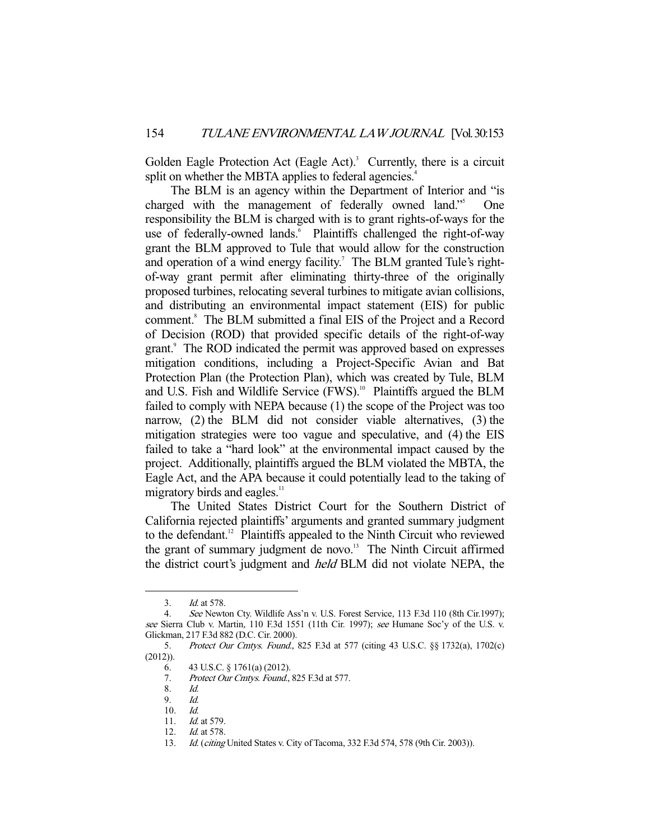Golden Eagle Protection Act (Eagle Act).<sup>3</sup> Currently, there is a circuit split on whether the MBTA applies to federal agencies.<sup>4</sup>

 The BLM is an agency within the Department of Interior and "is charged with the management of federally owned land."<sup>5</sup> One responsibility the BLM is charged with is to grant rights-of-ways for the use of federally-owned lands.<sup>6</sup> Plaintiffs challenged the right-of-way grant the BLM approved to Tule that would allow for the construction and operation of a wind energy facility.<sup>7</sup> The BLM granted Tule's rightof-way grant permit after eliminating thirty-three of the originally proposed turbines, relocating several turbines to mitigate avian collisions, and distributing an environmental impact statement (EIS) for public comment.<sup>8</sup> The BLM submitted a final EIS of the Project and a Record of Decision (ROD) that provided specific details of the right-of-way grant.<sup>9</sup> The ROD indicated the permit was approved based on expresses mitigation conditions, including a Project-Specific Avian and Bat Protection Plan (the Protection Plan), which was created by Tule, BLM and U.S. Fish and Wildlife Service (FWS).<sup>10</sup> Plaintiffs argued the BLM failed to comply with NEPA because (1) the scope of the Project was too narrow, (2) the BLM did not consider viable alternatives, (3) the mitigation strategies were too vague and speculative, and (4) the EIS failed to take a "hard look" at the environmental impact caused by the project. Additionally, plaintiffs argued the BLM violated the MBTA, the Eagle Act, and the APA because it could potentially lead to the taking of migratory birds and eagles. $<sup>11</sup>$ </sup>

 The United States District Court for the Southern District of California rejected plaintiffs' arguments and granted summary judgment to the defendant.12 Plaintiffs appealed to the Ninth Circuit who reviewed the grant of summary judgment de novo. $13$  The Ninth Circuit affirmed the district court's judgment and held BLM did not violate NEPA, the

 <sup>3.</sup> Id. at 578.

 <sup>4.</sup> See Newton Cty. Wildlife Ass'n v. U.S. Forest Service, 113 F.3d 110 (8th Cir.1997); see Sierra Club v. Martin, 110 F.3d 1551 (11th Cir. 1997); see Humane Soc'y of the U.S. v. Glickman, 217 F.3d 882 (D.C. Cir. 2000).

<sup>5.</sup> Protect Our Cmtys. Found., 825 F.3d at 577 (citing 43 U.S.C. §§ 1732(a), 1702(c)  $(2012)$ ).

 <sup>6. 43</sup> U.S.C. § 1761(a) (2012).

 <sup>7.</sup> Protect Our Cmtys. Found., 825 F.3d at 577.

 <sup>8.</sup> Id.

 <sup>9.</sup> Id.

 <sup>10.</sup> Id.

<sup>11.</sup> *Id.* at 579.

<sup>12.</sup> *Id.* at 578.

<sup>13.</sup> *Id.* (*citing* United States v. City of Tacoma, 332 F.3d 574, 578 (9th Cir. 2003)).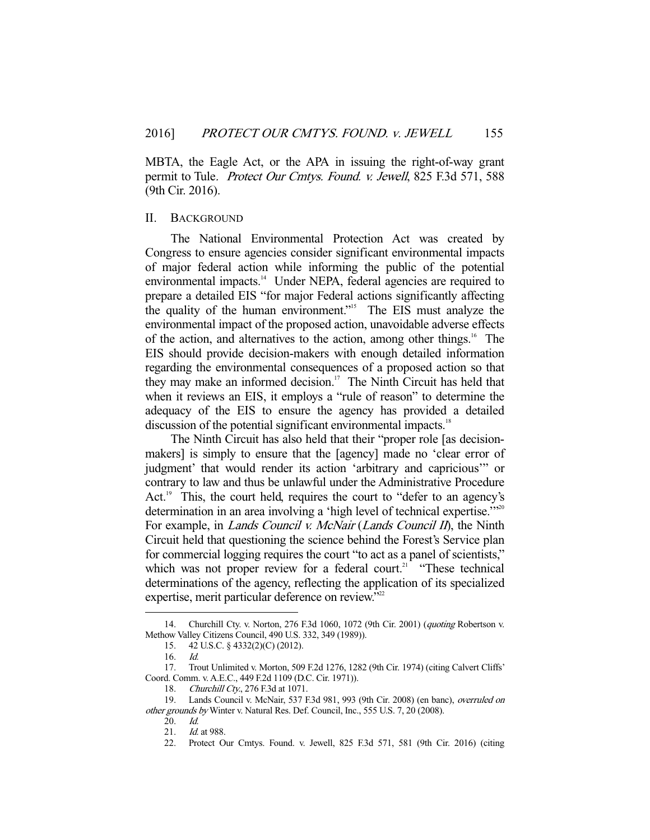MBTA, the Eagle Act, or the APA in issuing the right-of-way grant permit to Tule. Protect Our Cmtys. Found. v. Jewell, 825 F.3d 571, 588 (9th Cir. 2016).

#### II. BACKGROUND

 The National Environmental Protection Act was created by Congress to ensure agencies consider significant environmental impacts of major federal action while informing the public of the potential environmental impacts.<sup>14</sup> Under NEPA, federal agencies are required to prepare a detailed EIS "for major Federal actions significantly affecting the quality of the human environment."15 The EIS must analyze the environmental impact of the proposed action, unavoidable adverse effects of the action, and alternatives to the action, among other things.<sup>16</sup> The EIS should provide decision-makers with enough detailed information regarding the environmental consequences of a proposed action so that they may make an informed decision.<sup>17</sup> The Ninth Circuit has held that when it reviews an EIS, it employs a "rule of reason" to determine the adequacy of the EIS to ensure the agency has provided a detailed discussion of the potential significant environmental impacts.<sup>18</sup>

 The Ninth Circuit has also held that their "proper role [as decisionmakers] is simply to ensure that the [agency] made no 'clear error of judgment' that would render its action 'arbitrary and capricious'" or contrary to law and thus be unlawful under the Administrative Procedure Act.<sup>19</sup> This, the court held, requires the court to "defer to an agency's determination in an area involving a 'high level of technical expertise."<sup>20</sup> For example, in *Lands Council v. McNair* (*Lands Council II*), the Ninth Circuit held that questioning the science behind the Forest's Service plan for commercial logging requires the court "to act as a panel of scientists," which was not proper review for a federal court.<sup>21</sup> "These technical determinations of the agency, reflecting the application of its specialized expertise, merit particular deference on review."<sup>22</sup>

 <sup>14.</sup> Churchill Cty. v. Norton, 276 F.3d 1060, 1072 (9th Cir. 2001) (quoting Robertson v. Methow Valley Citizens Council, 490 U.S. 332, 349 (1989)).

 <sup>15. 42</sup> U.S.C. § 4332(2)(C) (2012).

 <sup>16.</sup> Id.

 <sup>17.</sup> Trout Unlimited v. Morton, 509 F.2d 1276, 1282 (9th Cir. 1974) (citing Calvert Cliffs' Coord. Comm. v. A.E.C., 449 F.2d 1109 (D.C. Cir. 1971)).

<sup>18.</sup> Churchill Cty., 276 F.3d at 1071.

 <sup>19.</sup> Lands Council v. McNair, 537 F.3d 981, 993 (9th Cir. 2008) (en banc), overruled on other grounds by Winter v. Natural Res. Def. Council, Inc., 555 U.S. 7, 20 (2008).

 <sup>20.</sup> Id.

<sup>21.</sup> *Id.* at 988.

 <sup>22.</sup> Protect Our Cmtys. Found. v. Jewell, 825 F.3d 571, 581 (9th Cir. 2016) (citing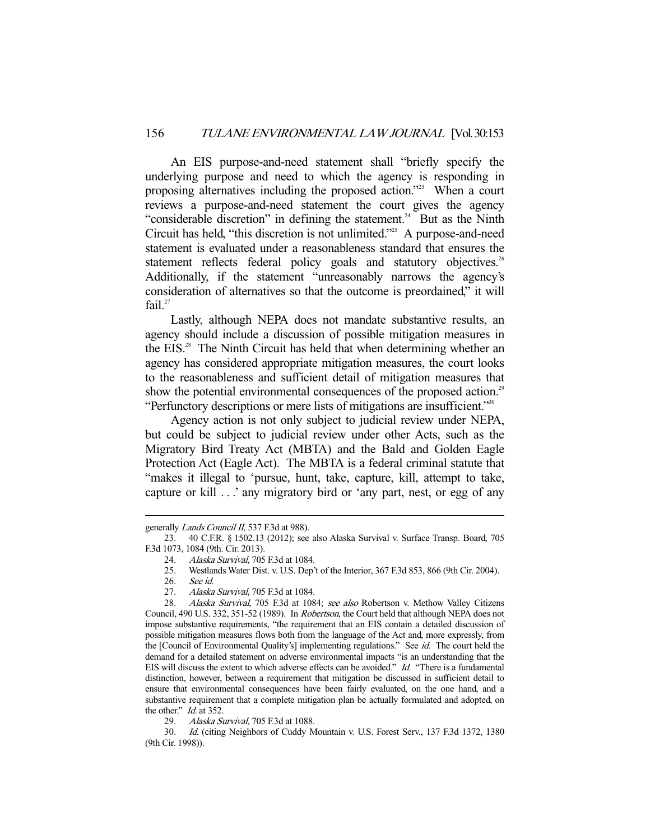An EIS purpose-and-need statement shall "briefly specify the underlying purpose and need to which the agency is responding in proposing alternatives including the proposed action."<sup>23</sup> When a court reviews a purpose-and-need statement the court gives the agency "considerable discretion" in defining the statement.<sup>24</sup> But as the Ninth Circuit has held, "this discretion is not unlimited."25 A purpose-and-need statement is evaluated under a reasonableness standard that ensures the statement reflects federal policy goals and statutory objectives.<sup>26</sup> Additionally, if the statement "unreasonably narrows the agency's consideration of alternatives so that the outcome is preordained," it will fail. $27$ 

 Lastly, although NEPA does not mandate substantive results, an agency should include a discussion of possible mitigation measures in the EIS.<sup>28</sup> The Ninth Circuit has held that when determining whether an agency has considered appropriate mitigation measures, the court looks to the reasonableness and sufficient detail of mitigation measures that show the potential environmental consequences of the proposed action.<sup>29</sup> "Perfunctory descriptions or mere lists of mitigations are insufficient."<sup>30</sup>

 Agency action is not only subject to judicial review under NEPA, but could be subject to judicial review under other Acts, such as the Migratory Bird Treaty Act (MBTA) and the Bald and Golden Eagle Protection Act (Eagle Act). The MBTA is a federal criminal statute that "makes it illegal to 'pursue, hunt, take, capture, kill, attempt to take, capture or kill . . .' any migratory bird or 'any part, nest, or egg of any

generally Lands Council II, 537 F.3d at 988).

 <sup>23. 40</sup> C.F.R. § 1502.13 (2012); see also Alaska Survival v. Surface Transp. Board, 705 F.3d 1073, 1084 (9th. Cir. 2013).

<sup>24.</sup> Alaska Survival, 705 F.3d at 1084.<br>25. Westlands Water Dist. v. U.S. Dep'

 <sup>25.</sup> Westlands Water Dist. v. U.S. Dep't of the Interior, 367 F.3d 853, 866 (9th Cir. 2004).

 <sup>26.</sup> See id.

<sup>27.</sup> Alaska Survival, 705 F.3d at 1084.

<sup>28.</sup> Alaska Survival, 705 F.3d at 1084; see also Robertson v. Methow Valley Citizens Council, 490 U.S. 332, 351-52 (1989). In Robertson, the Court held that although NEPA does not impose substantive requirements, "the requirement that an EIS contain a detailed discussion of possible mitigation measures flows both from the language of the Act and, more expressly, from the [Council of Environmental Quality's] implementing regulations." See id. The court held the demand for a detailed statement on adverse environmental impacts "is an understanding that the EIS will discuss the extent to which adverse effects can be avoided." Id. "There is a fundamental distinction, however, between a requirement that mitigation be discussed in sufficient detail to ensure that environmental consequences have been fairly evaluated, on the one hand, and a substantive requirement that a complete mitigation plan be actually formulated and adopted, on the other." *Id.* at 352.

<sup>29.</sup> Alaska Survival, 705 F.3d at 1088.

 <sup>30.</sup> Id. (citing Neighbors of Cuddy Mountain v. U.S. Forest Serv., 137 F.3d 1372, 1380 (9th Cir. 1998)).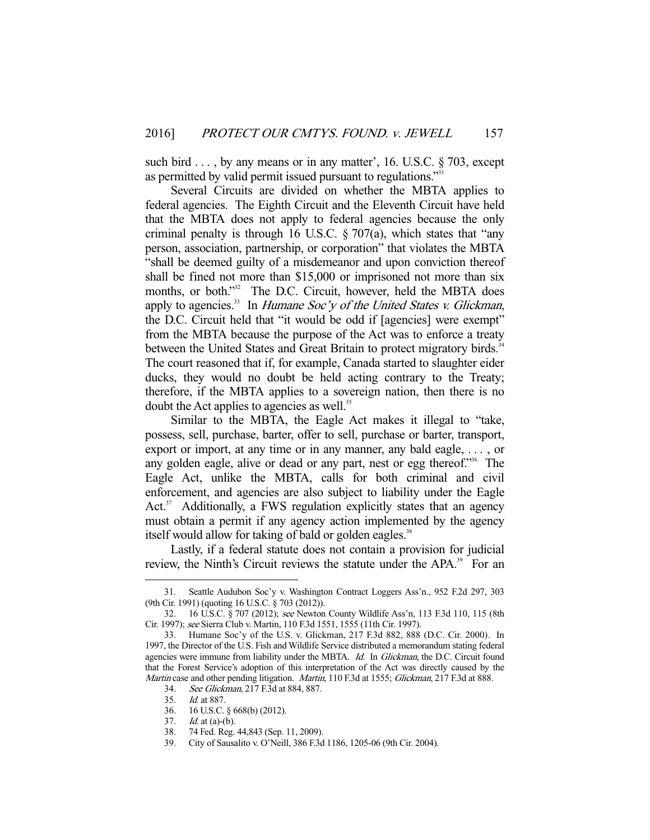such bird . . . , by any means or in any matter', 16. U.S.C. § 703, except as permitted by valid permit issued pursuant to regulations."<sup>3</sup>

 Several Circuits are divided on whether the MBTA applies to federal agencies. The Eighth Circuit and the Eleventh Circuit have held that the MBTA does not apply to federal agencies because the only criminal penalty is through 16 U.S.C.  $\S 707(a)$ , which states that "any person, association, partnership, or corporation" that violates the MBTA "shall be deemed guilty of a misdemeanor and upon conviction thereof shall be fined not more than \$15,000 or imprisoned not more than six months, or both."<sup>32</sup> The D.C. Circuit, however, held the MBTA does apply to agencies.<sup>33</sup> In *Humane Soc'y of the United States v. Glickman*, the D.C. Circuit held that "it would be odd if [agencies] were exempt" from the MBTA because the purpose of the Act was to enforce a treaty between the United States and Great Britain to protect migratory birds.<sup>34</sup> The court reasoned that if, for example, Canada started to slaughter eider ducks, they would no doubt be held acting contrary to the Treaty; therefore, if the MBTA applies to a sovereign nation, then there is no doubt the Act applies to agencies as well.<sup>35</sup>

 Similar to the MBTA, the Eagle Act makes it illegal to "take, possess, sell, purchase, barter, offer to sell, purchase or barter, transport, export or import, at any time or in any manner, any bald eagle, . . . , or any golden eagle, alive or dead or any part, nest or egg thereof."36 The Eagle Act, unlike the MBTA, calls for both criminal and civil enforcement, and agencies are also subject to liability under the Eagle Act. $37$  Additionally, a FWS regulation explicitly states that an agency must obtain a permit if any agency action implemented by the agency itself would allow for taking of bald or golden eagles.<sup>38</sup>

 Lastly, if a federal statute does not contain a provision for judicial review, the Ninth's Circuit reviews the statute under the APA.<sup>39</sup> For an

 <sup>31.</sup> Seattle Audubon Soc'y v. Washington Contract Loggers Ass'n., 952 F.2d 297, 303 (9th Cir. 1991) (quoting 16 U.S.C. § 703 (2012)).

 <sup>32. 16</sup> U.S.C. § 707 (2012); see Newton County Wildlife Ass'n, 113 F.3d 110, 115 (8th Cir. 1997); see Sierra Club v. Martin, 110 F.3d 1551, 1555 (11th Cir. 1997).

 <sup>33.</sup> Humane Soc'y of the U.S. v. Glickman, 217 F.3d 882, 888 (D.C. Cir. 2000). In 1997, the Director of the U.S. Fish and Wildlife Service distributed a memorandum stating federal agencies were immune from liability under the MBTA. Id. In Glickman, the D.C. Circuit found that the Forest Service's adoption of this interpretation of the Act was directly caused by the Martin case and other pending litigation. Martin, 110 F.3d at 1555; Glickman, 217 F.3d at 888.

 <sup>34.</sup> See Glickman, 217 F.3d at 884, 887.

 <sup>35.</sup> Id. at 887.

 <sup>36. 16</sup> U.S.C. § 668(b) (2012).

<sup>37.</sup> *Id.* at (a)-(b).

 <sup>38. 74</sup> Fed. Reg. 44,843 (Sep. 11, 2009).

 <sup>39.</sup> City of Sausalito v. O'Neill, 386 F.3d 1186, 1205-06 (9th Cir. 2004).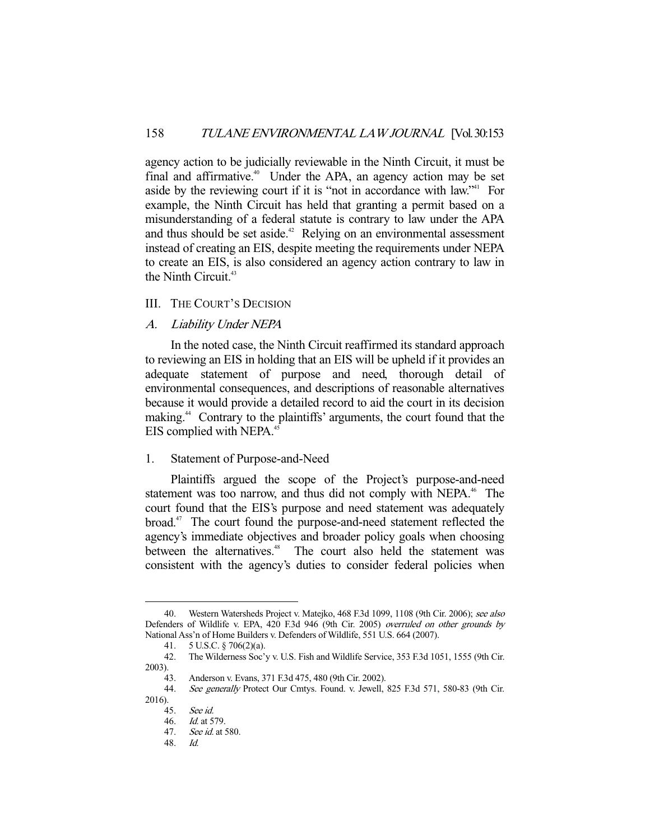agency action to be judicially reviewable in the Ninth Circuit, it must be final and affirmative.<sup>40</sup> Under the APA, an agency action may be set aside by the reviewing court if it is "not in accordance with law."<sup>41</sup> For example, the Ninth Circuit has held that granting a permit based on a misunderstanding of a federal statute is contrary to law under the APA and thus should be set aside.<sup> $42$ </sup> Relying on an environmental assessment instead of creating an EIS, despite meeting the requirements under NEPA to create an EIS, is also considered an agency action contrary to law in the Ninth Circuit.<sup>43</sup>

# III. THE COURT'S DECISION

A. Liability Under NEPA

 In the noted case, the Ninth Circuit reaffirmed its standard approach to reviewing an EIS in holding that an EIS will be upheld if it provides an adequate statement of purpose and need, thorough detail of environmental consequences, and descriptions of reasonable alternatives because it would provide a detailed record to aid the court in its decision making.44 Contrary to the plaintiffs' arguments, the court found that the EIS complied with NEPA.<sup>45</sup>

## 1. Statement of Purpose-and-Need

 Plaintiffs argued the scope of the Project's purpose-and-need statement was too narrow, and thus did not comply with NEPA.<sup>46</sup> The court found that the EIS's purpose and need statement was adequately broad.47 The court found the purpose-and-need statement reflected the agency's immediate objectives and broader policy goals when choosing between the alternatives.<sup>48</sup> The court also held the statement was consistent with the agency's duties to consider federal policies when

48. Id.

<sup>-</sup>40. Western Watersheds Project v. Matejko, 468 F.3d 1099, 1108 (9th Cir. 2006); see also Defenders of Wildlife v. EPA, 420 F.3d 946 (9th Cir. 2005) overruled on other grounds by National Ass'n of Home Builders v. Defenders of Wildlife, 551 U.S. 664 (2007).

 <sup>41. 5</sup> U.S.C. § 706(2)(a).

 <sup>42.</sup> The Wilderness Soc'y v. U.S. Fish and Wildlife Service, 353 F.3d 1051, 1555 (9th Cir. 2003).

 <sup>43.</sup> Anderson v. Evans, 371 F.3d 475, 480 (9th Cir. 2002).

 <sup>44.</sup> See generally Protect Our Cmtys. Found. v. Jewell, 825 F.3d 571, 580-83 (9th Cir. 2016).

 <sup>45.</sup> See id.

 <sup>46.</sup> Id. at 579.

 <sup>47.</sup> See id. at 580.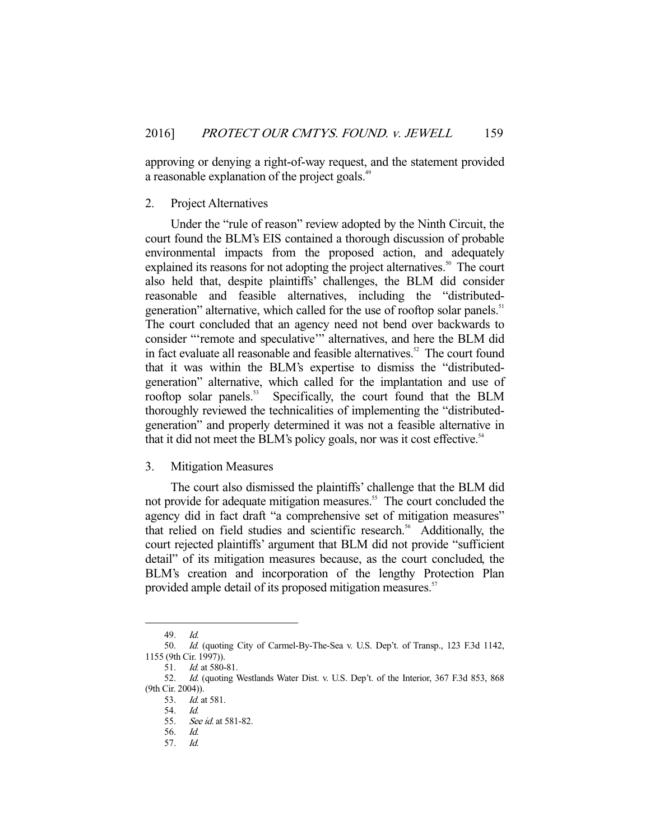approving or denying a right-of-way request, and the statement provided a reasonable explanation of the project goals.<sup>49</sup>

## 2. Project Alternatives

 Under the "rule of reason" review adopted by the Ninth Circuit, the court found the BLM's EIS contained a thorough discussion of probable environmental impacts from the proposed action, and adequately explained its reasons for not adopting the project alternatives.<sup>50</sup> The court also held that, despite plaintiffs' challenges, the BLM did consider reasonable and feasible alternatives, including the "distributedgeneration" alternative, which called for the use of rooftop solar panels.<sup>51</sup> The court concluded that an agency need not bend over backwards to consider "'remote and speculative'" alternatives, and here the BLM did in fact evaluate all reasonable and feasible alternatives.<sup>52</sup> The court found that it was within the BLM's expertise to dismiss the "distributedgeneration" alternative, which called for the implantation and use of rooftop solar panels.<sup>53</sup> Specifically, the court found that the BLM thoroughly reviewed the technicalities of implementing the "distributedgeneration" and properly determined it was not a feasible alternative in that it did not meet the BLM's policy goals, nor was it cost effective.<sup>54</sup>

## 3. Mitigation Measures

 The court also dismissed the plaintiffs' challenge that the BLM did not provide for adequate mitigation measures.<sup>55</sup> The court concluded the agency did in fact draft "a comprehensive set of mitigation measures" that relied on field studies and scientific research.<sup>56</sup> Additionally, the court rejected plaintiffs' argument that BLM did not provide "sufficient detail" of its mitigation measures because, as the court concluded, the BLM's creation and incorporation of the lengthy Protection Plan provided ample detail of its proposed mitigation measures.<sup>57</sup>

 <sup>49.</sup> Id.

 <sup>50.</sup> Id. (quoting City of Carmel-By-The-Sea v. U.S. Dep't. of Transp., 123 F.3d 1142, 1155 (9th Cir. 1997)).

 <sup>51.</sup> Id. at 580-81.

 <sup>52.</sup> Id. (quoting Westlands Water Dist. v. U.S. Dep't. of the Interior, 367 F.3d 853, 868 (9th Cir. 2004)).

 <sup>53.</sup> Id. at 581.

 <sup>54.</sup> Id.

 <sup>55.</sup> See id. at 581-82.

 <sup>56.</sup> Id. 57. Id.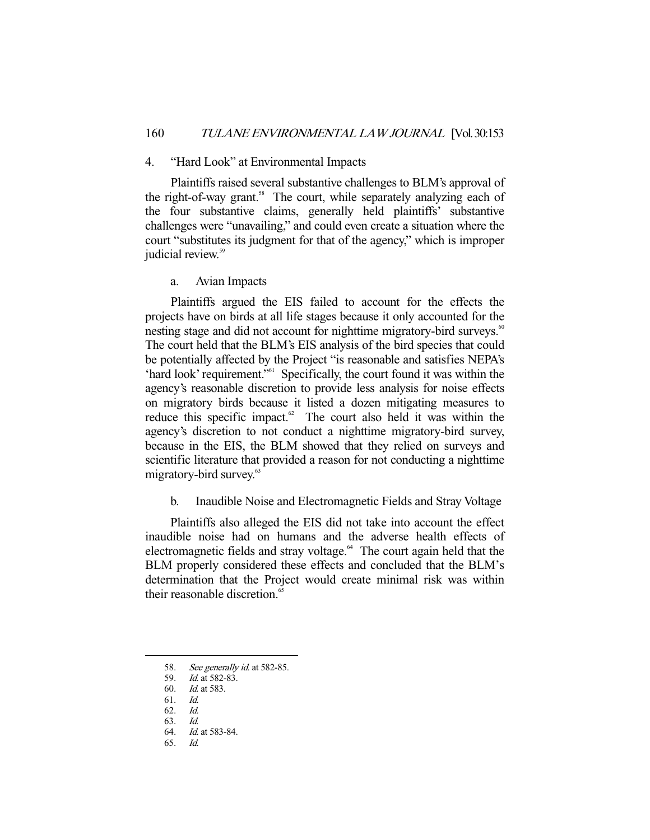#### 4. "Hard Look" at Environmental Impacts

 Plaintiffs raised several substantive challenges to BLM's approval of the right-of-way grant.<sup>58</sup> The court, while separately analyzing each of the four substantive claims, generally held plaintiffs' substantive challenges were "unavailing," and could even create a situation where the court "substitutes its judgment for that of the agency," which is improper judicial review.<sup>59</sup>

a. Avian Impacts

 Plaintiffs argued the EIS failed to account for the effects the projects have on birds at all life stages because it only accounted for the nesting stage and did not account for nighttime migratory-bird surveys.<sup>60</sup> The court held that the BLM's EIS analysis of the bird species that could be potentially affected by the Project "is reasonable and satisfies NEPA's 'hard look' requirement."61 Specifically, the court found it was within the agency's reasonable discretion to provide less analysis for noise effects on migratory birds because it listed a dozen mitigating measures to reduce this specific impact. $62$  The court also held it was within the agency's discretion to not conduct a nighttime migratory-bird survey, because in the EIS, the BLM showed that they relied on surveys and scientific literature that provided a reason for not conducting a nighttime migratory-bird survey.<sup>63</sup>

b. Inaudible Noise and Electromagnetic Fields and Stray Voltage

 Plaintiffs also alleged the EIS did not take into account the effect inaudible noise had on humans and the adverse health effects of electromagnetic fields and stray voltage.<sup>64</sup> The court again held that the BLM properly considered these effects and concluded that the BLM's determination that the Project would create minimal risk was within their reasonable discretion.<sup>65</sup>

62. Id.

<sup>58.</sup> See generally id. at 582-85.

 <sup>59.</sup> Id. at 582-83.

 <sup>60.</sup> Id. at 583.

 <sup>61.</sup> Id.

 <sup>63.</sup> Id. 64. Id. at 583-84.

 <sup>65.</sup> Id.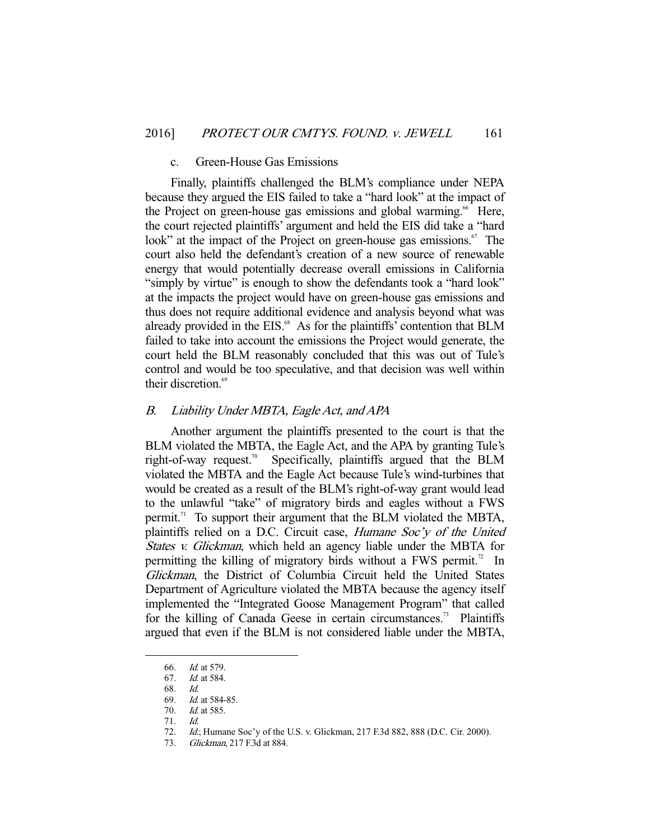#### c. Green-House Gas Emissions

 Finally, plaintiffs challenged the BLM's compliance under NEPA because they argued the EIS failed to take a "hard look" at the impact of the Project on green-house gas emissions and global warming.<sup>66</sup> Here, the court rejected plaintiffs' argument and held the EIS did take a "hard look" at the impact of the Project on green-house gas emissions.<sup>67</sup> The court also held the defendant's creation of a new source of renewable energy that would potentially decrease overall emissions in California "simply by virtue" is enough to show the defendants took a "hard look" at the impacts the project would have on green-house gas emissions and thus does not require additional evidence and analysis beyond what was already provided in the EIS.<sup>68</sup> As for the plaintiffs' contention that BLM failed to take into account the emissions the Project would generate, the court held the BLM reasonably concluded that this was out of Tule's control and would be too speculative, and that decision was well within their discretion.<sup>69</sup>

## B. Liability Under MBTA, Eagle Act, and APA

 Another argument the plaintiffs presented to the court is that the BLM violated the MBTA, the Eagle Act, and the APA by granting Tule's right-of-way request.<sup>70</sup> Specifically, plaintiffs argued that the BLM violated the MBTA and the Eagle Act because Tule's wind-turbines that would be created as a result of the BLM's right-of-way grant would lead to the unlawful "take" of migratory birds and eagles without a FWS permit.<sup>71</sup> To support their argument that the BLM violated the MBTA, plaintiffs relied on a D.C. Circuit case, Humane Soc'y of the United States v. Glickman, which held an agency liable under the MBTA for permitting the killing of migratory birds without a FWS permit.<sup>72</sup> In Glickman, the District of Columbia Circuit held the United States Department of Agriculture violated the MBTA because the agency itself implemented the "Integrated Goose Management Program" that called for the killing of Canada Geese in certain circumstances.<sup>73</sup> Plaintiffs argued that even if the BLM is not considered liable under the MBTA,

 <sup>66.</sup> Id. at 579.

 <sup>67.</sup> Id. at 584.

 <sup>68.</sup> Id.

<sup>69.</sup> *Id.* at 584-85.

 <sup>70.</sup> Id. at 585.

 <sup>71.</sup> Id.

 <sup>72.</sup> Id.; Humane Soc'y of the U.S. v. Glickman, 217 F.3d 882, 888 (D.C. Cir. 2000).

<sup>73.</sup> Glickman, 217 F.3d at 884.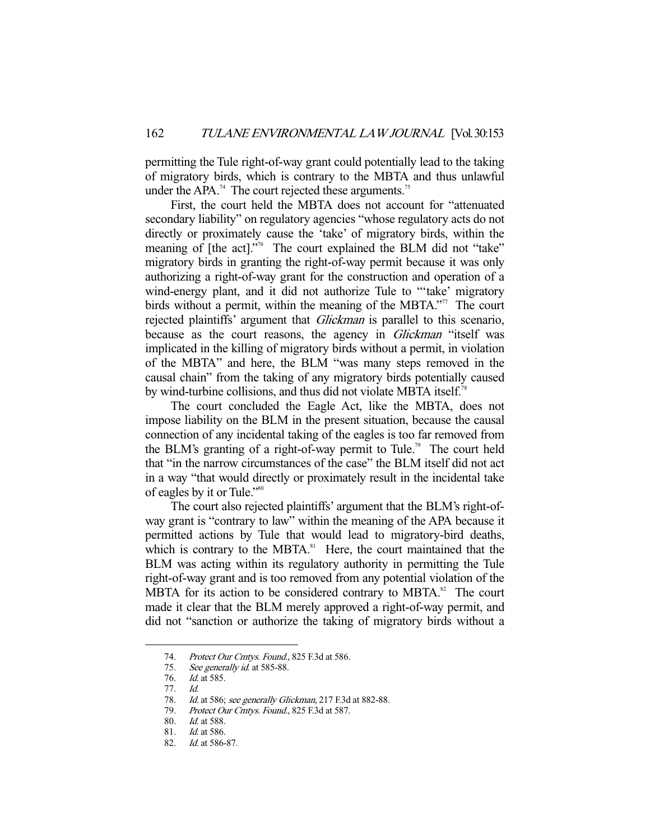permitting the Tule right-of-way grant could potentially lead to the taking of migratory birds, which is contrary to the MBTA and thus unlawful under the APA.<sup>74</sup> The court rejected these arguments.<sup>75</sup>

 First, the court held the MBTA does not account for "attenuated secondary liability" on regulatory agencies "whose regulatory acts do not directly or proximately cause the 'take' of migratory birds, within the meaning of [the act]."<sup>76</sup> The court explained the BLM did not "take" migratory birds in granting the right-of-way permit because it was only authorizing a right-of-way grant for the construction and operation of a wind-energy plant, and it did not authorize Tule to "take' migratory birds without a permit, within the meaning of the MBTA."<sup>77</sup> The court rejected plaintiffs' argument that *Glickman* is parallel to this scenario, because as the court reasons, the agency in *Glickman* "itself was implicated in the killing of migratory birds without a permit, in violation of the MBTA" and here, the BLM "was many steps removed in the causal chain" from the taking of any migratory birds potentially caused by wind-turbine collisions, and thus did not violate MBTA itself.<sup>78</sup>

 The court concluded the Eagle Act, like the MBTA, does not impose liability on the BLM in the present situation, because the causal connection of any incidental taking of the eagles is too far removed from the BLM's granting of a right-of-way permit to Tule.<sup>79</sup> The court held that "in the narrow circumstances of the case" the BLM itself did not act in a way "that would directly or proximately result in the incidental take of eagles by it or Tule."80

 The court also rejected plaintiffs' argument that the BLM's right-ofway grant is "contrary to law" within the meaning of the APA because it permitted actions by Tule that would lead to migratory-bird deaths, which is contrary to the MBTA. ${}^{81}$  Here, the court maintained that the BLM was acting within its regulatory authority in permitting the Tule right-of-way grant and is too removed from any potential violation of the MBTA for its action to be considered contrary to MBTA. $82$  The court made it clear that the BLM merely approved a right-of-way permit, and did not "sanction or authorize the taking of migratory birds without a

 <sup>74.</sup> Protect Our Cmtys. Found., 825 F.3d at 586.

 <sup>75.</sup> See generally id. at 585-88.

 <sup>76.</sup> Id. at 585.

 <sup>77.</sup> Id.

<sup>78.</sup> Id. at 586; see generally Glickman, 217 F.3d at 882-88.

<sup>79.</sup> Protect Our Cmtys. Found., 825 F.3d at 587.

 <sup>80.</sup> Id. at 588.

 <sup>81.</sup> Id. at 586.

<sup>82.</sup> *Id.* at 586-87.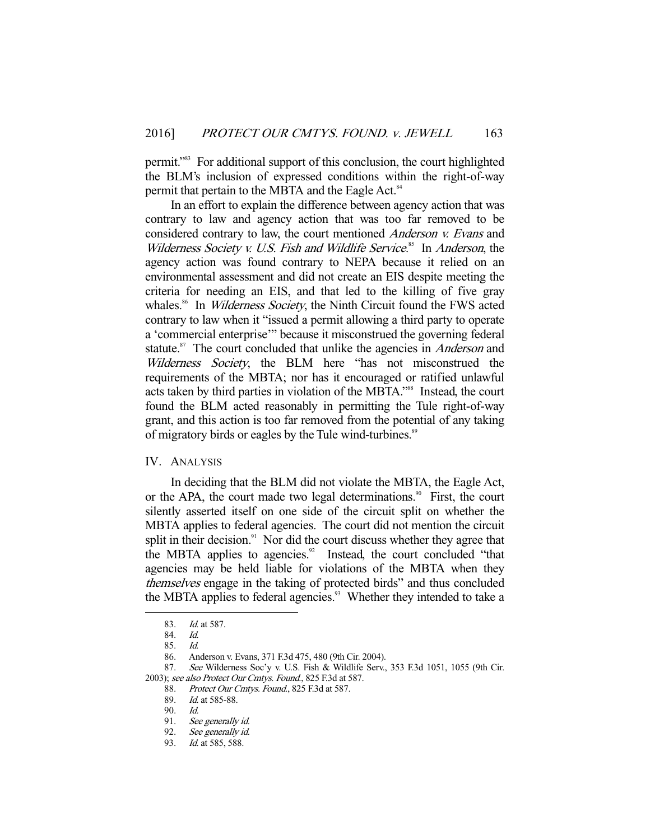permit."<sup>83</sup> For additional support of this conclusion, the court highlighted the BLM's inclusion of expressed conditions within the right-of-way permit that pertain to the MBTA and the Eagle Act.<sup>84</sup>

 In an effort to explain the difference between agency action that was contrary to law and agency action that was too far removed to be considered contrary to law, the court mentioned Anderson v. Evans and Wilderness Society v. U.S. Fish and Wildlife Service.<sup>85</sup> In Anderson, the agency action was found contrary to NEPA because it relied on an environmental assessment and did not create an EIS despite meeting the criteria for needing an EIS, and that led to the killing of five gray whales.<sup>86</sup> In *Wilderness Society*, the Ninth Circuit found the FWS acted contrary to law when it "issued a permit allowing a third party to operate a 'commercial enterprise'" because it misconstrued the governing federal statute.<sup>87</sup> The court concluded that unlike the agencies in *Anderson* and Wilderness Society, the BLM here "has not misconstrued the requirements of the MBTA; nor has it encouraged or ratified unlawful acts taken by third parties in violation of the MBTA."<sup>88</sup> Instead, the court found the BLM acted reasonably in permitting the Tule right-of-way grant, and this action is too far removed from the potential of any taking of migratory birds or eagles by the Tule wind-turbines.<sup>89</sup>

## IV. ANALYSIS

 In deciding that the BLM did not violate the MBTA, the Eagle Act, or the APA, the court made two legal determinations.<sup>90</sup> First, the court silently asserted itself on one side of the circuit split on whether the MBTA applies to federal agencies. The court did not mention the circuit split in their decision. $91$  Nor did the court discuss whether they agree that the MBTA applies to agencies.<sup>92</sup> Instead, the court concluded "that agencies may be held liable for violations of the MBTA when they themselves engage in the taking of protected birds" and thus concluded the MBTA applies to federal agencies.<sup>93</sup> Whether they intended to take a

-

87. See Wilderness Soc'y v. U.S. Fish & Wildlife Serv., 353 F.3d 1051, 1055 (9th Cir. 2003); see also Protect Our Cmtys. Found., 825 F.3d at 587.

88. Protect Our Cmtys. Found., 825 F.3d at 587.

 <sup>83.</sup> Id. at 587.

 <sup>84.</sup> Id.

 <sup>85.</sup> Id.

 <sup>86.</sup> Anderson v. Evans, 371 F.3d 475, 480 (9th Cir. 2004).

<sup>89.</sup> *Id.* at 585-88.

 <sup>90.</sup> Id.

 <sup>91.</sup> See generally id.

<sup>92.</sup> See generally id.

 <sup>93.</sup> Id. at 585, 588.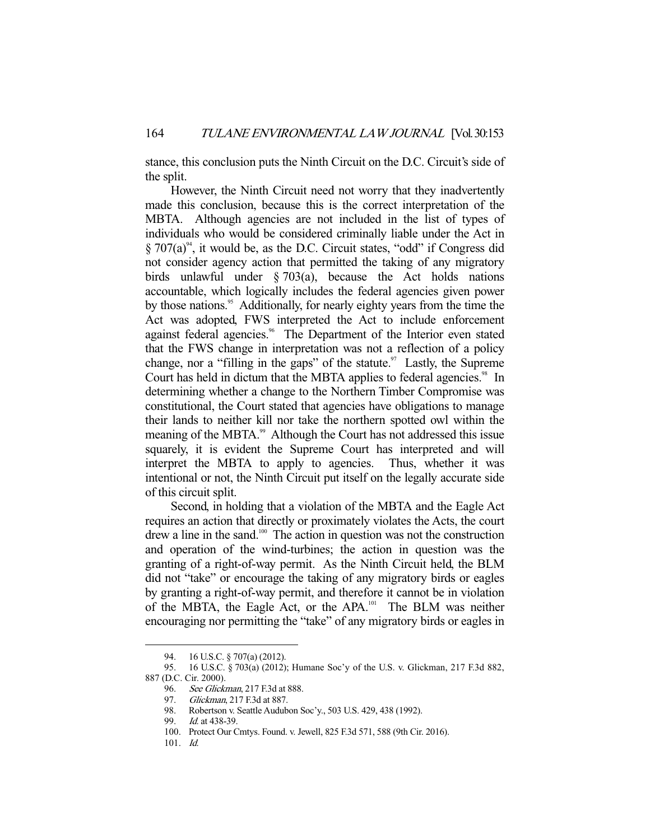stance, this conclusion puts the Ninth Circuit on the D.C. Circuit's side of the split.

 However, the Ninth Circuit need not worry that they inadvertently made this conclusion, because this is the correct interpretation of the MBTA. Although agencies are not included in the list of types of individuals who would be considered criminally liable under the Act in  $\S 707(a)^{94}$ , it would be, as the D.C. Circuit states, "odd" if Congress did not consider agency action that permitted the taking of any migratory birds unlawful under § 703(a), because the Act holds nations accountable, which logically includes the federal agencies given power by those nations.<sup>95</sup> Additionally, for nearly eighty years from the time the Act was adopted, FWS interpreted the Act to include enforcement against federal agencies.<sup>96</sup> The Department of the Interior even stated that the FWS change in interpretation was not a reflection of a policy change, nor a "filling in the gaps" of the statute.<sup>97</sup> Lastly, the Supreme Court has held in dictum that the MBTA applies to federal agencies.<sup>98</sup> In determining whether a change to the Northern Timber Compromise was constitutional, the Court stated that agencies have obligations to manage their lands to neither kill nor take the northern spotted owl within the meaning of the MBTA.<sup>99</sup> Although the Court has not addressed this issue squarely, it is evident the Supreme Court has interpreted and will interpret the MBTA to apply to agencies. Thus, whether it was intentional or not, the Ninth Circuit put itself on the legally accurate side of this circuit split.

 Second, in holding that a violation of the MBTA and the Eagle Act requires an action that directly or proximately violates the Acts, the court drew a line in the sand.<sup>100</sup> The action in question was not the construction and operation of the wind-turbines; the action in question was the granting of a right-of-way permit. As the Ninth Circuit held, the BLM did not "take" or encourage the taking of any migratory birds or eagles by granting a right-of-way permit, and therefore it cannot be in violation of the MBTA, the Eagle Act, or the APA.<sup>101</sup> The BLM was neither encouraging nor permitting the "take" of any migratory birds or eagles in

 <sup>94. 16</sup> U.S.C. § 707(a) (2012).

 <sup>95. 16</sup> U.S.C. § 703(a) (2012); Humane Soc'y of the U.S. v. Glickman, 217 F.3d 882, 887 (D.C. Cir. 2000).

<sup>96.</sup> See Glickman, 217 F.3d at 888.

 <sup>97.</sup> Glickman, 217 F.3d at 887.

 <sup>98.</sup> Robertson v. Seattle Audubon Soc'y., 503 U.S. 429, 438 (1992).

<sup>99.</sup> *Id.* at 438-39.

 <sup>100.</sup> Protect Our Cmtys. Found. v. Jewell, 825 F.3d 571, 588 (9th Cir. 2016).

 <sup>101.</sup> Id.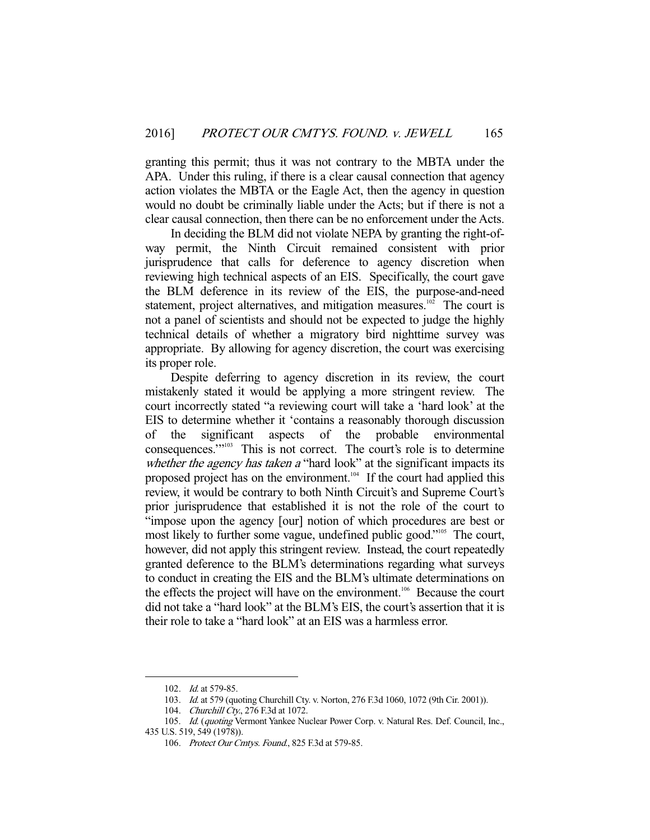granting this permit; thus it was not contrary to the MBTA under the APA. Under this ruling, if there is a clear causal connection that agency action violates the MBTA or the Eagle Act, then the agency in question would no doubt be criminally liable under the Acts; but if there is not a clear causal connection, then there can be no enforcement under the Acts.

 In deciding the BLM did not violate NEPA by granting the right-ofway permit, the Ninth Circuit remained consistent with prior jurisprudence that calls for deference to agency discretion when reviewing high technical aspects of an EIS. Specifically, the court gave the BLM deference in its review of the EIS, the purpose-and-need statement, project alternatives, and mitigation measures.<sup>102</sup> The court is not a panel of scientists and should not be expected to judge the highly technical details of whether a migratory bird nighttime survey was appropriate. By allowing for agency discretion, the court was exercising its proper role.

 Despite deferring to agency discretion in its review, the court mistakenly stated it would be applying a more stringent review. The court incorrectly stated "a reviewing court will take a 'hard look' at the EIS to determine whether it 'contains a reasonably thorough discussion of the significant aspects of the probable environmental consequences.'"<sup>103</sup> This is not correct. The court's role is to determine whether the agency has taken a "hard look" at the significant impacts its proposed project has on the environment.<sup>104</sup> If the court had applied this review, it would be contrary to both Ninth Circuit's and Supreme Court's prior jurisprudence that established it is not the role of the court to "impose upon the agency [our] notion of which procedures are best or most likely to further some vague, undefined public good."<sup>105</sup> The court, however, did not apply this stringent review. Instead, the court repeatedly granted deference to the BLM's determinations regarding what surveys to conduct in creating the EIS and the BLM's ultimate determinations on the effects the project will have on the environment.106 Because the court did not take a "hard look" at the BLM's EIS, the court's assertion that it is their role to take a "hard look" at an EIS was a harmless error.

<sup>102.</sup> *Id.* at 579-85.

<sup>103.</sup> Id. at 579 (quoting Churchill Cty. v. Norton, 276 F.3d 1060, 1072 (9th Cir. 2001)).

<sup>104.</sup> Churchill Cty., 276 F.3d at 1072.

<sup>105.</sup> Id. (quoting Vermont Yankee Nuclear Power Corp. v. Natural Res. Def. Council, Inc., 435 U.S. 519, 549 (1978)).

<sup>106.</sup> Protect Our Cmtys. Found., 825 F.3d at 579-85.